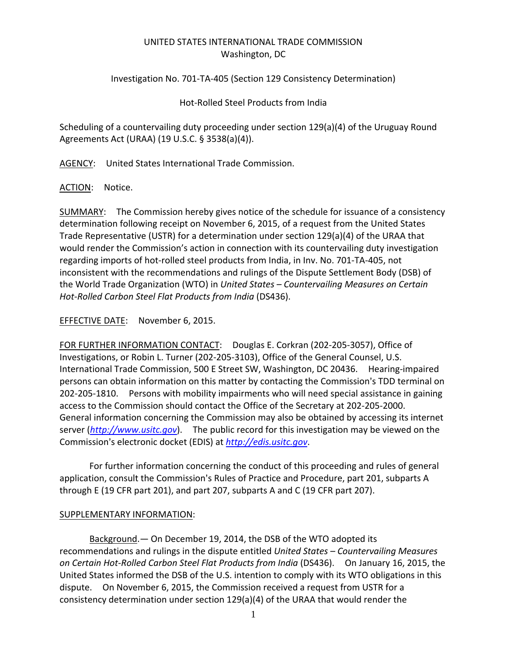## UNITED STATES INTERNATIONAL TRADE COMMISSION Washington, DC

Investigation No. 701‐TA‐405 (Section 129 Consistency Determination)

Hot‐Rolled Steel Products from India

Scheduling of a countervailing duty proceeding under section 129(a)(4) of the Uruguay Round Agreements Act (URAA) (19 U.S.C. § 3538(a)(4)).

AGENCY: United States International Trade Commission.

ACTION: Notice.

SUMMARY: The Commission hereby gives notice of the schedule for issuance of a consistency determination following receipt on November 6, 2015, of a request from the United States Trade Representative (USTR) for a determination under section 129(a)(4) of the URAA that would render the Commission's action in connection with its countervailing duty investigation regarding imports of hot‐rolled steel products from India, in Inv. No. 701‐TA‐405, not inconsistent with the recommendations and rulings of the Dispute Settlement Body (DSB) of the World Trade Organization (WTO) in *United States – Countervailing Measures on Certain Hot‐Rolled Carbon Steel Flat Products from India* (DS436).

EFFECTIVE DATE: November 6, 2015.

FOR FURTHER INFORMATION CONTACT: Douglas E. Corkran (202-205-3057), Office of Investigations, or Robin L. Turner (202‐205‐3103), Office of the General Counsel, U.S. International Trade Commission, 500 E Street SW, Washington, DC 20436. Hearing‐impaired persons can obtain information on this matter by contacting the Commission's TDD terminal on 202-205-1810. Persons with mobility impairments who will need special assistance in gaining access to the Commission should contact the Office of the Secretary at 202‐205‐2000. General information concerning the Commission may also be obtained by accessing its internet server (*http://www.usitc.gov*). The public record for this investigation may be viewed on the Commission's electronic docket (EDIS) at *http://edis.usitc.gov.* 

For further information concerning the conduct of this proceeding and rules of general application, consult the Commission's Rules of Practice and Procedure, part 201, subparts A through E (19 CFR part 201), and part 207, subparts A and C (19 CFR part 207).

## SUPPLEMENTARY INFORMATION:

Background.— On December 19, 2014, the DSB of the WTO adopted its recommendations and rulings in the dispute entitled *United States – Countervailing Measures on Certain Hot‐Rolled Carbon Steel Flat Products from India* (DS436). On January 16, 2015, the United States informed the DSB of the U.S. intention to comply with its WTO obligations in this dispute. On November 6, 2015, the Commission received a request from USTR for a consistency determination under section 129(a)(4) of the URAA that would render the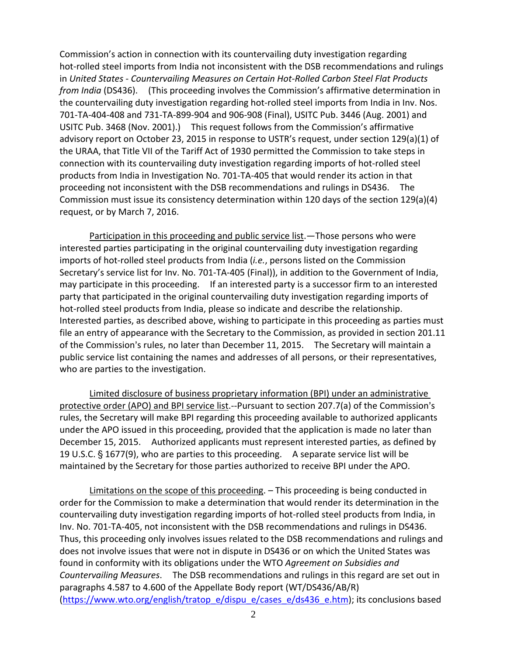Commission's action in connection with its countervailing duty investigation regarding hot-rolled steel imports from India not inconsistent with the DSB recommendations and rulings in *United States ‐ Countervailing Measures on Certain Hot‐Rolled Carbon Steel Flat Products from India* (DS436). (This proceeding involves the Commission's affirmative determination in the countervailing duty investigation regarding hot‐rolled steel imports from India in Inv. Nos. 701‐TA‐404‐408 and 731‐TA‐899‐904 and 906‐908 (Final), USITC Pub. 3446 (Aug. 2001) and USITC Pub. 3468 (Nov. 2001).) This request follows from the Commission's affirmative advisory report on October 23, 2015 in response to USTR's request, under section 129(a)(1) of the URAA, that Title VII of the Tariff Act of 1930 permitted the Commission to take steps in connection with its countervailing duty investigation regarding imports of hot-rolled steel products from India in Investigation No. 701‐TA‐405 that would render its action in that proceeding not inconsistent with the DSB recommendations and rulings in DS436. The Commission must issue its consistency determination within 120 days of the section 129(a)(4) request, or by March 7, 2016.

Participation in this proceeding and public service list. - Those persons who were interested parties participating in the original countervailing duty investigation regarding imports of hot-rolled steel products from India (*i.e.*, persons listed on the Commission Secretary's service list for Inv. No. 701‐TA‐405 (Final)), in addition to the Government of India, may participate in this proceeding. If an interested party is a successor firm to an interested party that participated in the original countervailing duty investigation regarding imports of hot-rolled steel products from India, please so indicate and describe the relationship. Interested parties, as described above, wishing to participate in this proceeding as parties must file an entry of appearance with the Secretary to the Commission, as provided in section 201.11 of the Commission's rules, no later than December 11, 2015. The Secretary will maintain a public service list containing the names and addresses of all persons, or their representatives, who are parties to the investigation.

Limited disclosure of business proprietary information (BPI) under an administrative protective order (APO) and BPI service list.--Pursuant to section 207.7(a) of the Commission's rules, the Secretary will make BPI regarding this proceeding available to authorized applicants under the APO issued in this proceeding, provided that the application is made no later than December 15, 2015. Authorized applicants must represent interested parties, as defined by 19 U.S.C. § 1677(9), who are parties to this proceeding. A separate service list will be maintained by the Secretary for those parties authorized to receive BPI under the APO.

Limitations on the scope of this proceeding. - This proceeding is being conducted in order for the Commission to make a determination that would render its determination in the countervailing duty investigation regarding imports of hot-rolled steel products from India, in Inv. No. 701‐TA‐405, not inconsistent with the DSB recommendations and rulings in DS436. Thus, this proceeding only involves issues related to the DSB recommendations and rulings and does not involve issues that were not in dispute in DS436 or on which the United States was found in conformity with its obligations under the WTO *Agreement on Subsidies and Countervailing Measures*. The DSB recommendations and rulings in this regard are set out in paragraphs 4.587 to 4.600 of the Appellate Body report (WT/DS436/AB/R) (https://www.wto.org/english/tratop\_e/dispu\_e/cases\_e/ds436\_e.htm); its conclusions based